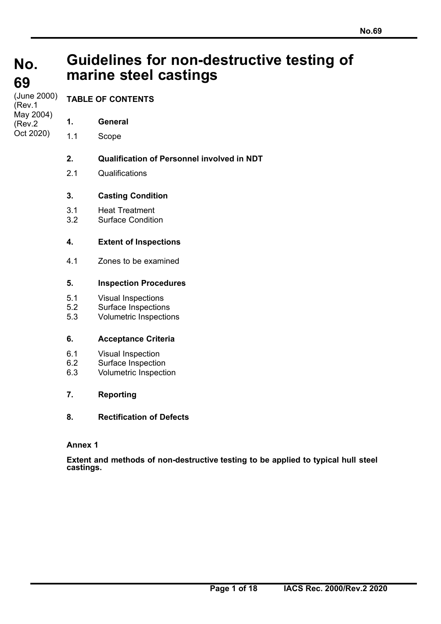# **No. No. 69**

# **Guidelines for non-destructive testing of marine steel castings**

**69**  (June 2000) **(Rev.1** May 2004) (Rev.2 Oct 2020)

## **TABLE OF CONTENTS**

- **1. General**
- 1.1 Scope

## **2. Qualification of Personnel involved in NDT**

2.1 Qualifications

## **3. Casting Condition**

- 3.1 Heat Treatment
- 3.2 Surface Condition

## **4. Extent of Inspections**

4.1 Zones to be examined

## **5. Inspection Procedures**

- 5.1 Visual Inspections<br>5.2 Surface Inspection
- Surface Inspections
- 5.3 Volumetric Inspections

## **6. Acceptance Criteria**

- 6.1 Visual Inspection
- 6.2 Surface Inspection
- 6.3 Volumetric Inspection

## **7. Reporting**

## **8. Rectification of Defects**

## **Annex 1**

**Extent and methods of non-destructive testing to be applied to typical hull steel castings.**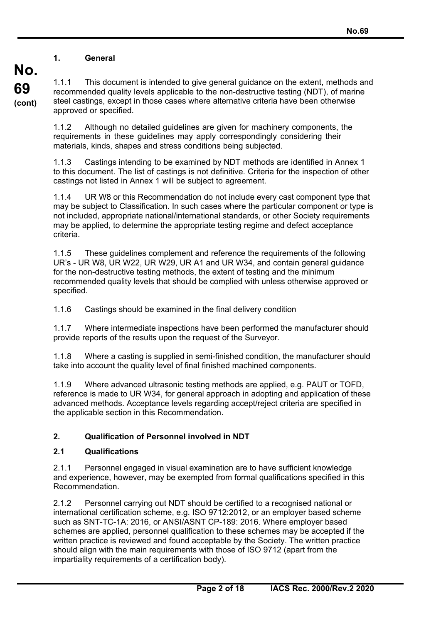#### **1. General**

**No.** 

**69** 

**(cont)**

1.1.1 This document is intended to give general guidance on the extent, methods and recommended quality levels applicable to the non-destructive testing (NDT), of marine steel castings, except in those cases where alternative criteria have been otherwise approved or specified.

1.1.2 Although no detailed guidelines are given for machinery components, the requirements in these guidelines may apply correspondingly considering their materials, kinds, shapes and stress conditions being subjected.

1.1.3 Castings intending to be examined by NDT methods are identified in Annex 1 to this document. The list of castings is not definitive. Criteria for the inspection of other castings not listed in Annex 1 will be subject to agreement.

1.1.4 UR W8 or this Recommendation do not include every cast component type that may be subject to Classification. In such cases where the particular component or type is not included, appropriate national/international standards, or other Society requirements may be applied, to determine the appropriate testing regime and defect acceptance criteria.

1.1.5 These guidelines complement and reference the requirements of the following UR's - UR W8, UR W22, UR W29, UR A1 and UR W34, and contain general guidance for the non-destructive testing methods, the extent of testing and the minimum recommended quality levels that should be complied with unless otherwise approved or specified.

1.1.6 Castings should be examined in the final delivery condition

1.1.7 Where intermediate inspections have been performed the manufacturer should provide reports of the results upon the request of the Surveyor.

1.1.8 Where a casting is supplied in semi-finished condition, the manufacturer should take into account the quality level of final finished machined components.

1.1.9 Where advanced ultrasonic testing methods are applied, e.g. PAUT or TOFD, reference is made to UR W34, for general approach in adopting and application of these advanced methods. Acceptance levels regarding accept/reject criteria are specified in the applicable section in this Recommendation.

### **2. Qualification of Personnel involved in NDT**

#### **2.1 Qualifications**

2.1.1 Personnel engaged in visual examination are to have sufficient knowledge and experience, however, may be exempted from formal qualifications specified in this Recommendation.

2.1.2 Personnel carrying out NDT should be certified to a recognised national or international certification scheme, e.g. ISO 9712:2012, or an employer based scheme such as SNT-TC-1A: 2016, or ANSI/ASNT CP-189: 2016. Where employer based schemes are applied, personnel qualification to these schemes may be accepted if the written practice is reviewed and found acceptable by the Society. The written practice should align with the main requirements with those of ISO 9712 (apart from the impartiality requirements of a certification body).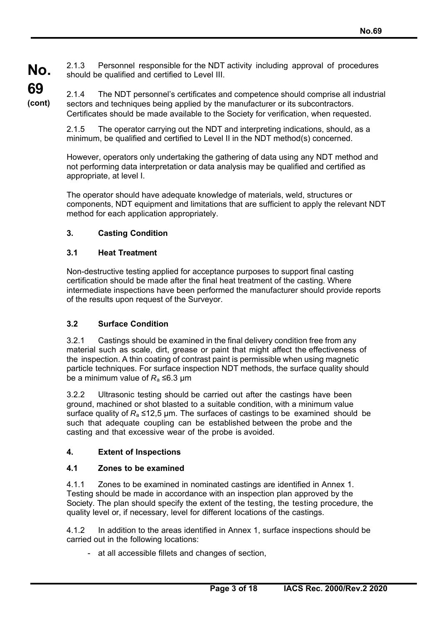**No.**  2.1.3 Personnel responsible for the NDT activity including approval of procedures should be qualified and certified to Level III.

**69 (cont)**

2.1.4 The NDT personnel's certificates and competence should comprise all industrial sectors and techniques being applied by the manufacturer or its subcontractors. Certificates should be made available to the Society for verification, when requested.

2.1.5 The operator carrying out the NDT and interpreting indications, should, as a minimum, be qualified and certified to Level II in the NDT method(s) concerned.

However, operators only undertaking the gathering of data using any NDT method and not performing data interpretation or data analysis may be qualified and certified as appropriate, at level I.

The operator should have adequate knowledge of materials, weld, structures or components, NDT equipment and limitations that are sufficient to apply the relevant NDT method for each application appropriately.

### **3. Casting Condition**

### **3.1 Heat Treatment**

Non-destructive testing applied for acceptance purposes to support final casting certification should be made after the final heat treatment of the casting. Where intermediate inspections have been performed the manufacturer should provide reports of the results upon request of the Surveyor.

## **3.2 Surface Condition**

3.2.1 Castings should be examined in the final delivery condition free from any material such as scale, dirt, grease or paint that might affect the effectiveness of the inspection. A thin coating of contrast paint is permissible when using magnetic particle techniques. For surface inspection NDT methods, the surface quality should be a minimum value of  $R_a \leq 6.3$  µm

3.2.2 Ultrasonic testing should be carried out after the castings have been ground, machined or shot blasted to a suitable condition, with a minimum value surface quality of *R*<sub>a</sub> ≤12,5 µm. The surfaces of castings to be examined should be such that adequate coupling can be established between the probe and the casting and that excessive wear of the probe is avoided.

## **4. Extent of Inspections**

### **4.1 Zones to be examined**

4.1.1 Zones to be examined in nominated castings are identified in Annex 1. Testing should be made in accordance with an inspection plan approved by the Society. The plan should specify the extent of the testing, the testing procedure, the quality level or, if necessary, level for different locations of the castings.

4.1.2 In addition to the areas identified in Annex 1, surface inspections should be carried out in the following locations:

- at all accessible fillets and changes of section,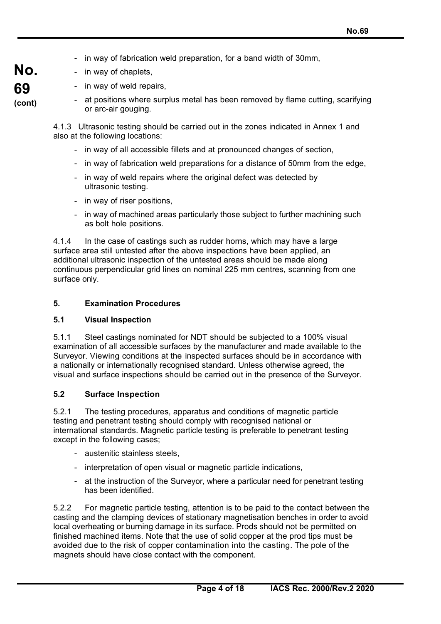- in way of fabrication weld preparation, for a band width of 30mm,

| No.    |  |
|--------|--|
| 69     |  |
| (cont) |  |

- in way of chaplets, - in way of weld repairs,

at positions where surplus metal has been removed by flame cutting, scarifying or arc-air gouging.

4.1.3 Ultrasonic testing should be carried out in the zones indicated in Annex 1 and also at the following locations:

- in way of all accessible fillets and at pronounced changes of section,
- in way of fabrication weld preparations for a distance of 50mm from the edge,
- in way of weld repairs where the original defect was detected by ultrasonic testing.
- in way of riser positions,
- in way of machined areas particularly those subject to further machining such as bolt hole positions.

4.1.4 In the case of castings such as rudder horns, which may have a large surface area still untested after the above inspections have been applied, an additional ultrasonic inspection of the untested areas should be made along continuous perpendicular grid lines on nominal 225 mm centres, scanning from one surface only.

#### **5. Examination Procedures**

#### **5.1 Visual Inspection**

5.1.1 Steel castings nominated for NDT should be subjected to a 100% visual examination of all accessible surfaces by the manufacturer and made available to the Surveyor. Viewing conditions at the inspected surfaces should be in accordance with a nationally or internationally recognised standard. Unless otherwise agreed, the visual and surface inspections should be carried out in the presence of the Surveyor.

#### **5.2 Surface Inspection**

5.2.1 The testing procedures, apparatus and conditions of magnetic particle testing and penetrant testing should comply with recognised national or international standards. Magnetic particle testing is preferable to penetrant testing except in the following cases;

- austenitic stainless steels,
- interpretation of open visual or magnetic particle indications,
- at the instruction of the Surveyor, where a particular need for penetrant testing has been identified.

5.2.2 For magnetic particle testing, attention is to be paid to the contact between the casting and the clamping devices of stationary magnetisation benches in order to avoid local overheating or burning damage in its surface. Prods should not be permitted on finished machined items. Note that the use of solid copper at the prod tips must be avoided due to the risk of copper contamination into the casting. The pole of the magnets should have close contact with the component.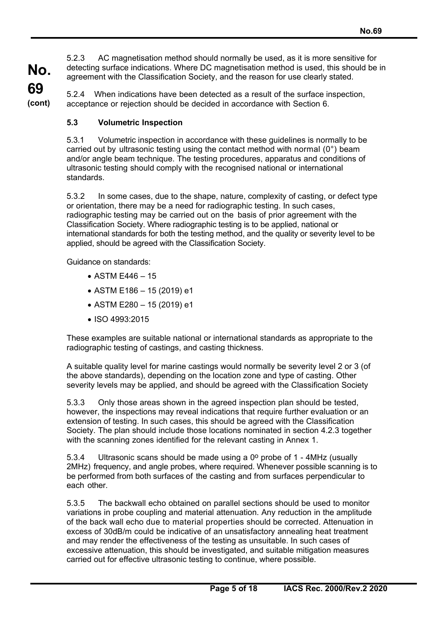**No. 69**  5.2.3 AC magnetisation method should normally be used, as it is more sensitive for detecting surface indications. Where DC magnetisation method is used, this should be in agreement with the Classification Society, and the reason for use clearly stated.

**(cont)** 5.2.4 When indications have been detected as a result of the surface inspection, acceptance or rejection should be decided in accordance with Section 6.

### **5.3 Volumetric Inspection**

5.3.1 Volumetric inspection in accordance with these guidelines is normally to be carried out by ultrasonic testing using the contact method with normal (0°) beam and/or angle beam technique. The testing procedures, apparatus and conditions of ultrasonic testing should comply with the recognised national or international standards.

5.3.2 In some cases, due to the shape, nature, complexity of casting, or defect type or orientation, there may be a need for radiographic testing. In such cases, radiographic testing may be carried out on the basis of prior agreement with the Classification Society. Where radiographic testing is to be applied, national or international standards for both the testing method, and the quality or severity level to be applied, should be agreed with the Classification Society.

Guidance on standards:

- $\bullet$  ASTM E446 15
- $\bullet$  ASTM E186 15 (2019) e1
- ASTM E280 15 (2019) e1
- ISO 4993:2015

These examples are suitable national or international standards as appropriate to the radiographic testing of castings, and casting thickness.

A suitable quality level for marine castings would normally be severity level 2 or 3 (of the above standards), depending on the location zone and type of casting. Other severity levels may be applied, and should be agreed with the Classification Society

5.3.3 Only those areas shown in the agreed inspection plan should be tested, however, the inspections may reveal indications that require further evaluation or an extension of testing. In such cases, this should be agreed with the Classification Society. The plan should include those locations nominated in section 4.2.3 together with the scanning zones identified for the relevant casting in Annex 1.

5.3.4 Ultrasonic scans should be made using a  $0^{\circ}$  probe of 1 - 4MHz (usually 2MHz) frequency, and angle probes, where required. Whenever possible scanning is to be performed from both surfaces of the casting and from surfaces perpendicular to each other.

5.3.5 The backwall echo obtained on parallel sections should be used to monitor variations in probe coupling and material attenuation. Any reduction in the amplitude of the back wall echo due to material properties should be corrected. Attenuation in excess of 30dB/m could be indicative of an unsatisfactory annealing heat treatment and may render the effectiveness of the testing as unsuitable. In such cases of excessive attenuation, this should be investigated, and suitable mitigation measures carried out for effective ultrasonic testing to continue, where possible.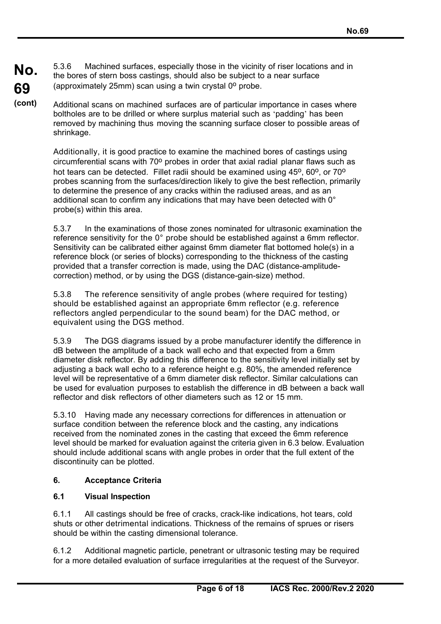**No. 69**  5.3.6 Machined surfaces, especially those in the vicinity of riser locations and in the bores of stern boss castings, should also be subject to a near surface (approximately 25mm) scan using a twin crystal  $0^{\circ}$  probe.

**(cont)** Additional scans on machined surfaces are of particular importance in cases where boltholes are to be drilled or where surplus material such as 'padding' has been removed by machining thus moving the scanning surface closer to possible areas of shrinkage.

> Additionally, it is good practice to examine the machined bores of castings using circumferential scans with  $70^{\circ}$  probes in order that axial radial planar flaws such as hot tears can be detected. Fillet radii should be examined using  $45^{\circ}$ , 60 $^{\circ}$ , or 70 $^{\circ}$ probes scanning from the surfaces/direction likely to give the best reflection, primarily to determine the presence of any cracks within the radiused areas, and as an additional scan to confirm any indications that may have been detected with 0° probe(s) within this area.

> 5.3.7 In the examinations of those zones nominated for ultrasonic examination the reference sensitivity for the 0° probe should be established against a 6mm reflector. Sensitivity can be calibrated either against 6mm diameter flat bottomed hole(s) in a reference block (or series of blocks) corresponding to the thickness of the casting provided that a transfer correction is made, using the DAC (distance-amplitudecorrection) method, or by using the DGS (distance-gain-size) method.

5.3.8 The reference sensitivity of angle probes (where required for testing) should be established against an appropriate 6mm reflector (e.g. reference reflectors angled perpendicular to the sound beam) for the DAC method, or equivalent using the DGS method.

5.3.9 The DGS diagrams issued by a probe manufacturer identify the difference in dB between the amplitude of a back wall echo and that expected from a 6mm diameter disk reflector. By adding this difference to the sensitivity level initially set by adjusting a back wall echo to a reference height e.g. 80%, the amended reference level will be representative of a 6mm diameter disk reflector. Similar calculations can be used for evaluation purposes to establish the difference in dB between a back wall reflector and disk reflectors of other diameters such as 12 or 15 mm.

5.3.10 Having made any necessary corrections for differences in attenuation or surface condition between the reference block and the casting, any indications received from the nominated zones in the casting that exceed the 6mm reference level should be marked for evaluation against the criteria given in 6.3 below. Evaluation should include additional scans with angle probes in order that the full extent of the discontinuity can be plotted.

#### **6. Acceptance Criteria**

### **6.1 Visual Inspection**

6.1.1 All castings should be free of cracks, crack-like indications, hot tears, cold shuts or other detrimental indications. Thickness of the remains of sprues or risers should be within the casting dimensional tolerance.

6.1.2 Additional magnetic particle, penetrant or ultrasonic testing may be required for a more detailed evaluation of surface irregularities at the request of the Surveyor.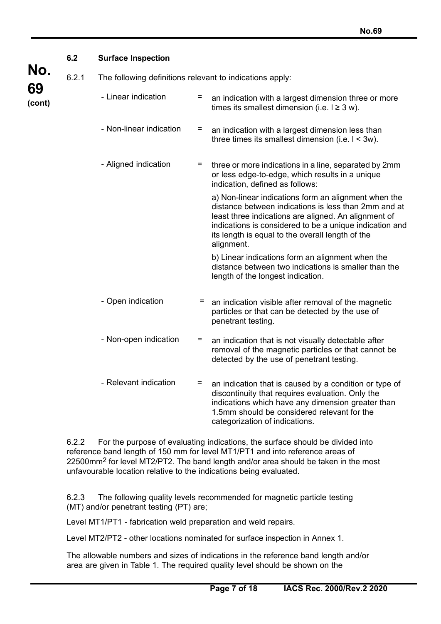|              | 6.2   | <b>Surface Inspection</b>                                |     |                                                                                                                                                                                                                                                                                                   |  |
|--------------|-------|----------------------------------------------------------|-----|---------------------------------------------------------------------------------------------------------------------------------------------------------------------------------------------------------------------------------------------------------------------------------------------------|--|
| No.          |       |                                                          |     |                                                                                                                                                                                                                                                                                                   |  |
|              | 6.2.1 | The following definitions relevant to indications apply: |     |                                                                                                                                                                                                                                                                                                   |  |
| 69<br>(cont) |       | - Linear indication                                      | $=$ | an indication with a largest dimension three or more<br>times its smallest dimension (i.e. $1 \ge 3$ w).                                                                                                                                                                                          |  |
|              |       | - Non-linear indication                                  | =   | an indication with a largest dimension less than<br>three times its smallest dimension (i.e. $1 < 3w$ ).                                                                                                                                                                                          |  |
|              |       | - Aligned indication                                     | $=$ | three or more indications in a line, separated by 2mm<br>or less edge-to-edge, which results in a unique<br>indication, defined as follows:                                                                                                                                                       |  |
|              |       |                                                          |     | a) Non-linear indications form an alignment when the<br>distance between indications is less than 2mm and at<br>least three indications are aligned. An alignment of<br>indications is considered to be a unique indication and<br>its length is equal to the overall length of the<br>alignment. |  |
|              |       |                                                          |     | b) Linear indications form an alignment when the<br>distance between two indications is smaller than the<br>length of the longest indication.                                                                                                                                                     |  |
|              |       | - Open indication                                        | =   | an indication visible after removal of the magnetic<br>particles or that can be detected by the use of<br>penetrant testing.                                                                                                                                                                      |  |
|              |       | - Non-open indication                                    | =   | an indication that is not visually detectable after<br>removal of the magnetic particles or that cannot be<br>detected by the use of penetrant testing.                                                                                                                                           |  |
|              |       | - Relevant indication                                    | =   | an indication that is caused by a condition or type of<br>discontinuity that requires evaluation. Only the<br>indications which have any dimension greater than                                                                                                                                   |  |

6.2.2 For the purpose of evaluating indications, the surface should be divided into reference band length of 150 mm for level MT1/PT1 and into reference areas of 22500mm2 for level MT2/PT2. The band length and/or area should be taken in the most unfavourable location relative to the indications being evaluated.

6.2.3 The following quality levels recommended for magnetic particle testing (MT) and/or penetrant testing (PT) are;

Level MT1/PT1 - fabrication weld preparation and weld repairs.

Level MT2/PT2 - other locations nominated for surface inspection in Annex 1.

The allowable numbers and sizes of indications in the reference band length and/or area are given in Table 1. The required quality level should be shown on the

1.5mm should be considered relevant for the

categorization of indications.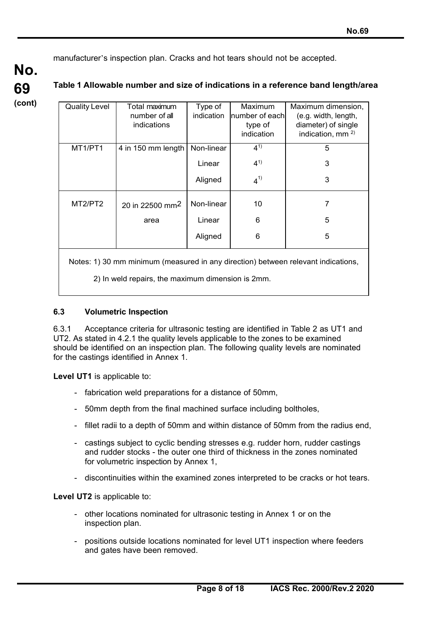manufacturer's inspection plan. Cracks and hot tears should not be accepted.

**No. 69 (cont)**

#### **Table 1 Allowable number and size of indications in a reference band length/area**

| <b>Quality Level</b> | Total maximum                                                                                                      | Type of    | Maximum        | Maximum dimension,     |
|----------------------|--------------------------------------------------------------------------------------------------------------------|------------|----------------|------------------------|
|                      | number of all                                                                                                      | indication | number of each | (e.g. width, length,   |
|                      | indications                                                                                                        |            | type of        | diameter) of single    |
|                      |                                                                                                                    |            | indication     | indication, mm $^{2)}$ |
| MT1/PT1              | 4 in 150 mm length                                                                                                 | Non-linear | $4^{1}$        | 5                      |
|                      |                                                                                                                    | Linear     | $4^{1}$        | 3                      |
|                      |                                                                                                                    | Aligned    | $4^{1}$        | 3                      |
| MT2/PT2              | 20 in 22500 mm <sup>2</sup>                                                                                        | Non-linear | 10             | 7                      |
|                      | area                                                                                                               | Linear     | 6              | 5                      |
|                      |                                                                                                                    | Aligned    | 6              | 5                      |
|                      | منافستان وزارات والمستحدث والمستقطين والأمسط والمستناد والمستحدث والمستحدث والمستحدث والمستحدث والمستحدث والمستحدث |            |                |                        |

Notes: 1) 30 mm minimum (measured in any direction) between relevant indications,

2) In weld repairs, the maximum dimension is 2mm.

#### **6.3 Volumetric Inspection**

6.3.1 Acceptance criteria for ultrasonic testing are identified in Table 2 as UT1 and UT2. As stated in 4.2.1 the quality levels applicable to the zones to be examined should be identified on an inspection plan. The following quality levels are nominated for the castings identified in Annex 1.

**Level UT1** is applicable to:

- fabrication weld preparations for a distance of 50mm,
- 50mm depth from the final machined surface including boltholes,
- fillet radii to a depth of 50mm and within distance of 50mm from the radius end,
- castings subject to cyclic bending stresses e.g. rudder horn, rudder castings and rudder stocks - the outer one third of thickness in the zones nominated for volumetric inspection by Annex 1,
- discontinuities within the examined zones interpreted to be cracks or hot tears.

**Level UT2** is applicable to:

- other locations nominated for ultrasonic testing in Annex 1 or on the inspection plan.
- positions outside locations nominated for level UT1 inspection where feeders and gates have been removed.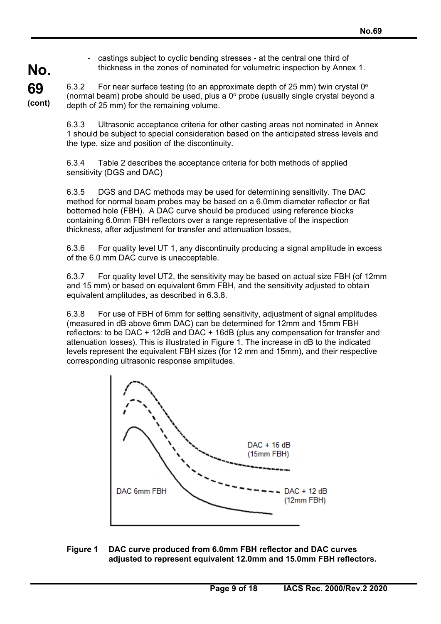- castings subject to cyclic bending stresses - at the central one third of thickness in the zones of nominated for volumetric inspection by Annex 1.

**69 (cont)** 6.3.2 For near surface testing (to an approximate depth of 25 mm) twin crystal  $0^{\circ}$ (normal beam) probe should be used, plus a  $0^{\circ}$  probe (usually single crystal beyond a depth of 25 mm) for the remaining volume.

**No.** 

6.3.3 Ultrasonic acceptance criteria for other casting areas not nominated in Annex 1 should be subject to special consideration based on the anticipated stress levels and the type, size and position of the discontinuity.

6.3.4 Table 2 describes the acceptance criteria for both methods of applied sensitivity (DGS and DAC)

6.3.5 DGS and DAC methods may be used for determining sensitivity. The DAC method for normal beam probes may be based on a 6.0mm diameter reflector or flat bottomed hole (FBH). A DAC curve should be produced using reference blocks containing 6.0mm FBH reflectors over a range representative of the inspection thickness, after adjustment for transfer and attenuation losses,

6.3.6 For quality level UT 1, any discontinuity producing a signal amplitude in excess of the 6.0 mm DAC curve is unacceptable.

6.3.7 For quality level UT2, the sensitivity may be based on actual size FBH (of 12mm and 15 mm) or based on equivalent 6mm FBH, and the sensitivity adjusted to obtain equivalent amplitudes, as described in 6.3.8.

6.3.8 For use of FBH of 6mm for setting sensitivity, adjustment of signal amplitudes (measured in dB above 6mm DAC) can be determined for 12mm and 15mm FBH reflectors: to be DAC + 12dB and DAC + 16dB (plus any compensation for transfer and attenuation losses). This is illustrated in Figure 1. The increase in dB to the indicated levels represent the equivalent FBH sizes (for 12 mm and 15mm), and their respective corresponding ultrasonic response amplitudes.



**Figure 1 DAC curve produced from 6.0mm FBH reflector and DAC curves adjusted to represent equivalent 12.0mm and 15.0mm FBH reflectors.**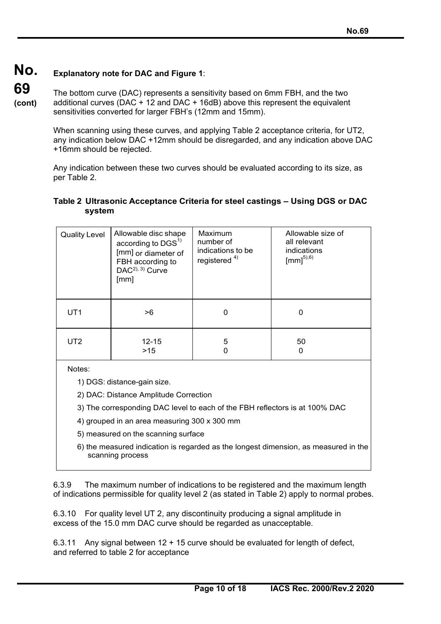#### **No. Explanatory note for DAC and Figure 1**:

**69 (cont)** The bottom curve (DAC) represents a sensitivity based on 6mm FBH, and the two additional curves ( $DAC + 12$  and  $DAC + 16dB$ ) above this represent the equivalent sensitivities converted for larger FBH's (12mm and 15mm).

> When scanning using these curves, and applying Table 2 acceptance criteria, for UT2, any indication below DAC +12mm should be disregarded, and any indication above DAC +16mm should be rejected.

Any indication between these two curves should be evaluated according to its size, as per Table 2.

#### **Table 2 Ultrasonic Acceptance Criteria for steel castings – Using DGS or DAC system**

| <b>Quality Level</b> | Allowable disc shape<br>according to $DGS1$<br>[mm] or diameter of<br>FBH according to<br>DAC <sup>2), 3)</sup> Curve<br>[mm] | Maximum<br>number of<br>indications to be<br>registered $4$ ) | Allowable size of<br>all relevant<br>indications<br>$\text{[mm]}^{5),6)}$ |
|----------------------|-------------------------------------------------------------------------------------------------------------------------------|---------------------------------------------------------------|---------------------------------------------------------------------------|
| UT <sub>1</sub>      | >6                                                                                                                            |                                                               | 0                                                                         |
| UT <sub>2</sub>      | $12 - 15$<br>>15                                                                                                              | 5                                                             | 50<br>0                                                                   |

Notes:

1) DGS: distance-gain size.

2) DAC: Distance Amplitude Correction

3) The corresponding DAC level to each of the FBH reflectors is at 100% DAC

4) grouped in an area measuring 300 x 300 mm

5) measured on the scanning surface

6) the measured indication is regarded as the longest dimension, as measured in the scanning process

6.3.9 The maximum number of indications to be registered and the maximum length of indications permissible for quality level 2 (as stated in Table 2) apply to normal probes.

6.3.10 For quality level UT 2, any discontinuity producing a signal amplitude in excess of the 15.0 mm DAC curve should be regarded as unacceptable.

6.3.11 Any signal between 12 + 15 curve should be evaluated for length of defect, and referred to table 2 for acceptance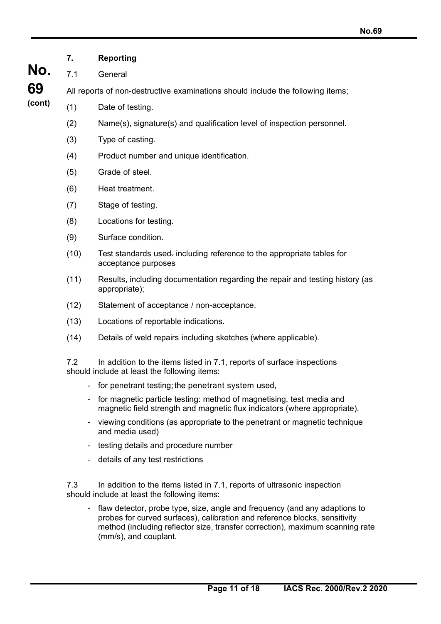- **No. (cont) 7. Reporting** 7.1 General All reports of non-destructive examinations should include the following items; (1) Date of testing. (2) Name(s), signature(s) and qualification level of inspection personnel. (3) Type of casting. (4) Product number and unique identification. (5) Grade of steel. (6) Heat treatment. (7) Stage of testing. (8) Locations for testing. (9) Surface condition. (10) Test standards used. including reference to the appropriate tables for acceptance purposes (11) Results, including documentation regarding the repair and testing history (as appropriate); (12) Statement of acceptance / non-acceptance. (13) Locations of reportable indications. (14) Details of weld repairs including sketches (where applicable). 7.2 In addition to the items listed in 7.1, reports of surface inspections should include at least the following items: - for penetrant testing; the penetrant system used, - for magnetic particle testing: method of magnetising, test media and magnetic field strength and magnetic flux indicators (where appropriate). viewing conditions (as appropriate to the penetrant or magnetic technique and media used) - testing details and procedure number
	- details of any test restrictions

**69** 

7.3 In addition to the items listed in 7.1, reports of ultrasonic inspection should include at least the following items:

flaw detector, probe type, size, angle and frequency (and any adaptions to probes for curved surfaces), calibration and reference blocks, sensitivity method (including reflector size, transfer correction), maximum scanning rate (mm/s), and couplant.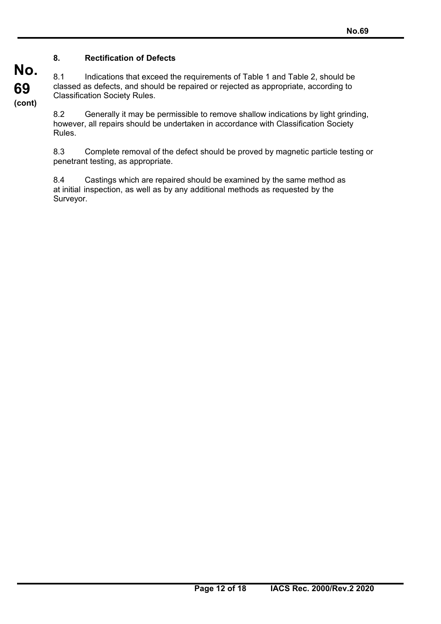### **8. Rectification of Defects**

**No.** 

**69** 

**(cont)**

8.1 Indications that exceed the requirements of Table 1 and Table 2, should be classed as defects, and should be repaired or rejected as appropriate, according to Classification Society Rules.

8.2 Generally it may be permissible to remove shallow indications by light grinding, however, all repairs should be undertaken in accordance with Classification Society Rules.

8.3 Complete removal of the defect should be proved by magnetic particle testing or penetrant testing, as appropriate.

8.4 Castings which are repaired should be examined by the same method as at initial inspection, as well as by any additional methods as requested by the Surveyor.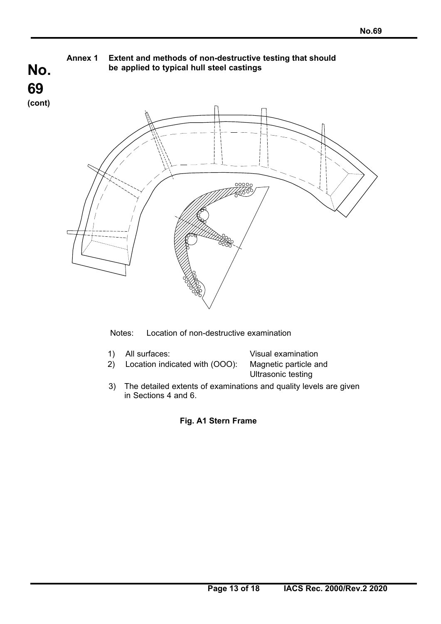

Notes: Location of non-destructive examination

| 1) All surfaces:                                        | Visual examination |
|---------------------------------------------------------|--------------------|
| 2) Location indicated with (OOO): Magnetic particle and |                    |
|                                                         | Ultrasonic testing |

3) The detailed extents of examinations and quality levels are given in Sections 4 and 6.

 **Fig. A1 Stern Frame**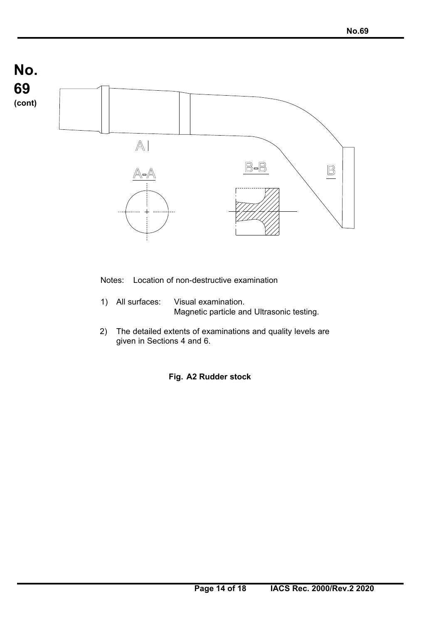

Notes: Location of non-destructive examination

- 1) All surfaces: Visual examination. Magnetic particle and Ultrasonic testing.
- 2) The detailed extents of examinations and quality levels are given in Sections 4 and 6.

 **Fig. A2 Rudder stock**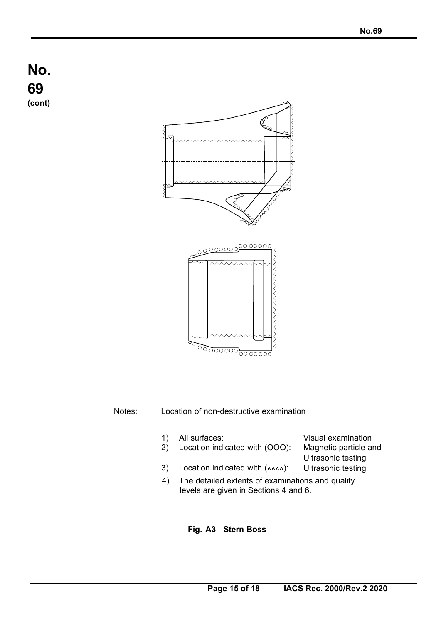# **No. 69 (cont)**



Notes: Location of non-destructive examination

- 1) All surfaces: Visual examination
- 2) Location indicated with (OOO): Magnetic particle and
- Ultrasonic testing
- 3) Location indicated with  $(\wedge\wedge\wedge\wedge)$ : Ultrasonic testing
- 4) The detailed extents of examinations and quality levels are given in Sections 4 and 6.

#### **Fig. A3 Stern Boss**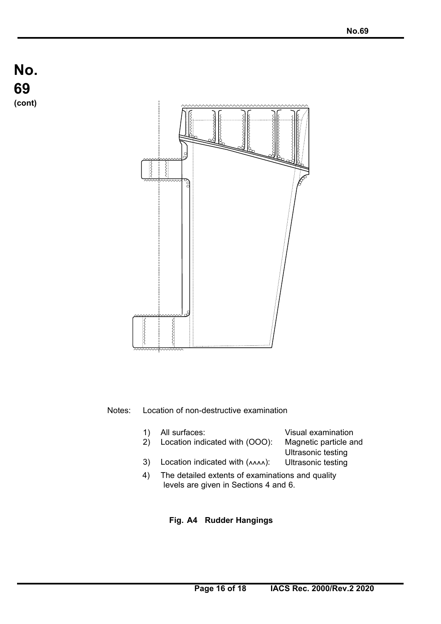



#### Notes: Location of non-destructive examination

- 1) All surfaces: Visual examination
- 2) Location indicated with (OOO): Magnetic particle and

3) Location indicated with  $(\wedge \wedge \wedge)$ :

Ultrasonic testing Ultrasonic testing

4) The detailed extents of examinations and quality levels are given in Sections 4 and 6.

#### **Fig. A4 Rudder Hangings**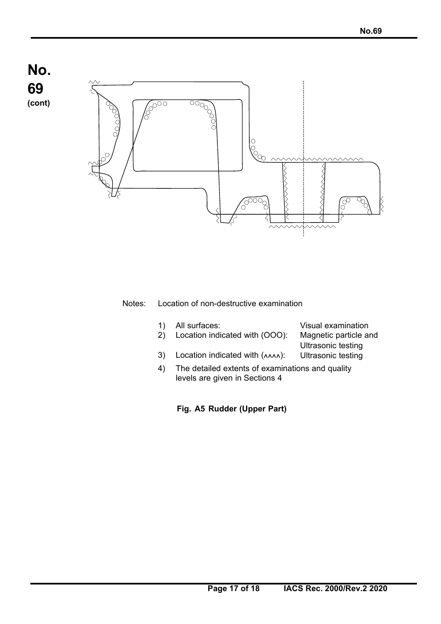# **No. 69 (cont)**



#### Notes: Location of non-destructive examination

- 1) All surfaces: Visual examination
- 2) Location indicated with (OOO): Magnetic particle and
- 3) Location indicated with  $(\triangle\triangle\triangle)$ :
- Ultrasonic testing Ultrasonic testing
- 4) The detailed extents of examinations and quality levels are given in Sections 4
	- **Fig. A5 Rudder (Upper Part)**